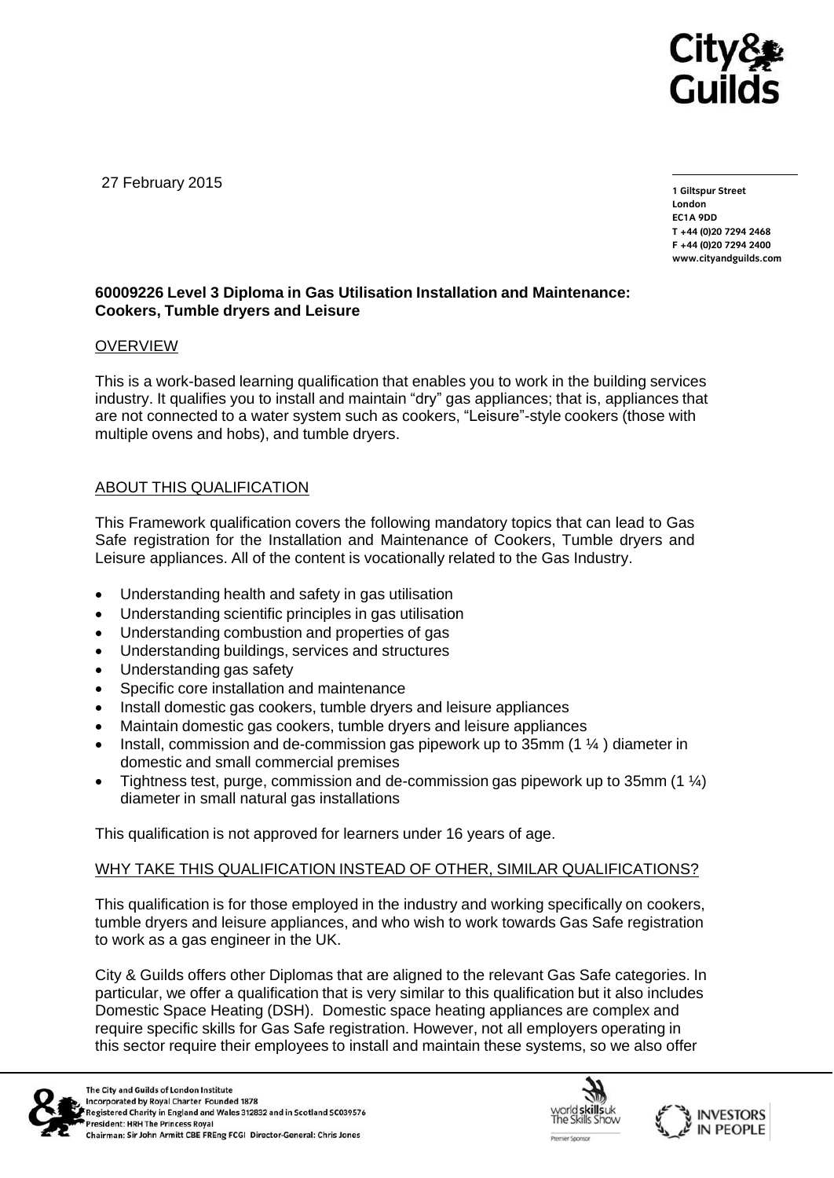

27 February 2015

**1 Giltspur Street EC1A 9DD** T +44 (0) 20 7 294 2468 **T +44 (0)20 7294 246[8](http://www.cityandguilds.com/)** www.citvandguilds.com **[www.cityandguilds.com](http://www.cityandguilds.com/)**

# **60009226 Level 3 Diploma in Gas Utilisation Installation and Maintenance: Cookers, Tumble dryers and Leisure**

## OVERVIEW

This is a work-based learning qualification that enables you to work in the building services industry. It qualifies you to install and maintain "dry" gas appliances; that is, appliances that are not connected to a water system such as cookers, "Leisure"-style cookers (those with multiple ovens and hobs), and tumble dryers.

## ABOUT THIS QUALIFICATION

This Framework qualification covers the following mandatory topics that can lead to Gas Safe registration for the Installation and Maintenance of Cookers, Tumble dryers and Leisure appliances. All of the content is vocationally related to the Gas Industry.

- Understanding health and safety in gas utilisation
- Understanding scientific principles in gas utilisation
- Understanding combustion and properties of gas
- Understanding buildings, services and structures
- Understanding gas safety
- Specific core installation and maintenance
- Install domestic gas cookers, tumble dryers and leisure appliances
- Maintain domestic gas cookers, tumble dryers and leisure appliances
- Install, commission and de-commission gas pipework up to 35mm (1 ¼ ) diameter in domestic and small commercial premises
- Tightness test, purge, commission and de-commission gas pipework up to 35mm (1 ¼) diameter in small natural gas installations

This qualification is not approved for learners under 16 years of age.

## WHY TAKE THIS QUALIFICATION INSTEAD OF OTHER, SIMILAR QUALIFICATIONS?

This qualification is for those employed in the industry and working specifically on cookers, tumble dryers and leisure appliances, and who wish to work towards Gas Safe registration to work as a gas engineer in the UK.

City & Guilds offers other Diplomas that are aligned to the relevant Gas Safe categories. In particular, we offer a qualification that is very similar to this qualification but it also includes Domestic Space Heating (DSH). Domestic space heating appliances are complex and require specific skills for Gas Safe registration. However, not all employers operating in this sector require their employees to install and maintain these systems, so we also offer